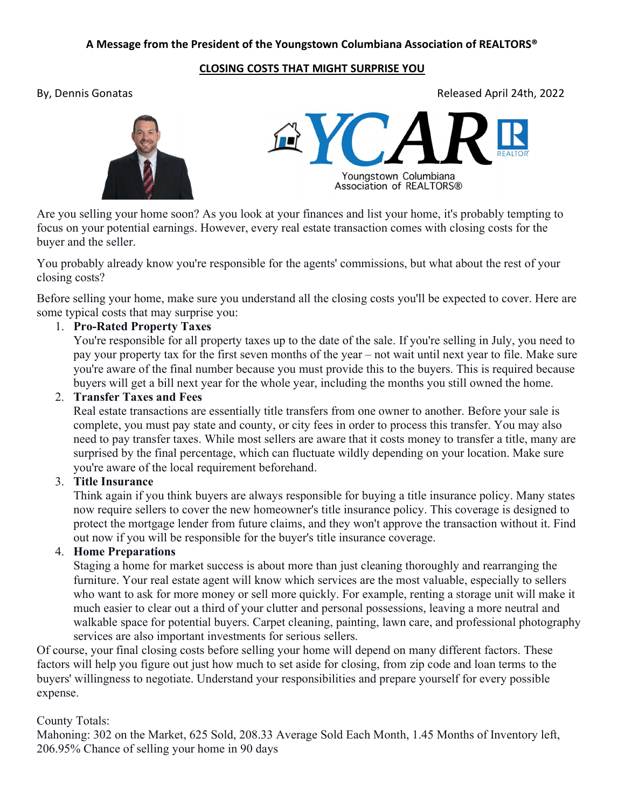# A Message from the President of the Youngstown Columbiana Association of REALTORS®

#### CLOSING COSTS THAT MIGHT SURPRISE YOU

By, Dennis Gonatas Released April 24th, 2022





Are you selling your home soon? As you look at your finances and list your home, it's probably tempting to focus on your potential earnings. However, every real estate transaction comes with closing costs for the buyer and the seller.

You probably already know you're responsible for the agents' commissions, but what about the rest of your closing costs?

Before selling your home, make sure you understand all the closing costs you'll be expected to cover. Here are some typical costs that may surprise you:

## 1. Pro-Rated Property Taxes

You're responsible for all property taxes up to the date of the sale. If you're selling in July, you need to pay your property tax for the first seven months of the year – not wait until next year to file. Make sure you're aware of the final number because you must provide this to the buyers. This is required because buyers will get a bill next year for the whole year, including the months you still owned the home.

### 2. Transfer Taxes and Fees

Real estate transactions are essentially title transfers from one owner to another. Before your sale is complete, you must pay state and county, or city fees in order to process this transfer. You may also need to pay transfer taxes. While most sellers are aware that it costs money to transfer a title, many are surprised by the final percentage, which can fluctuate wildly depending on your location. Make sure you're aware of the local requirement beforehand.

## 3. Title Insurance

Think again if you think buyers are always responsible for buying a title insurance policy. Many states now require sellers to cover the new homeowner's title insurance policy. This coverage is designed to protect the mortgage lender from future claims, and they won't approve the transaction without it. Find out now if you will be responsible for the buyer's title insurance coverage.

# 4. Home Preparations

Staging a home for market success is about more than just cleaning thoroughly and rearranging the furniture. Your real estate agent will know which services are the most valuable, especially to sellers who want to ask for more money or sell more quickly. For example, renting a storage unit will make it much easier to clear out a third of your clutter and personal possessions, leaving a more neutral and walkable space for potential buyers. Carpet cleaning, painting, lawn care, and professional photography services are also important investments for serious sellers.

Of course, your final closing costs before selling your home will depend on many different factors. These factors will help you figure out just how much to set aside for closing, from zip code and loan terms to the buyers' willingness to negotiate. Understand your responsibilities and prepare yourself for every possible expense.

## County Totals:

Mahoning: 302 on the Market, 625 Sold, 208.33 Average Sold Each Month, 1.45 Months of Inventory left, 206.95% Chance of selling your home in 90 days